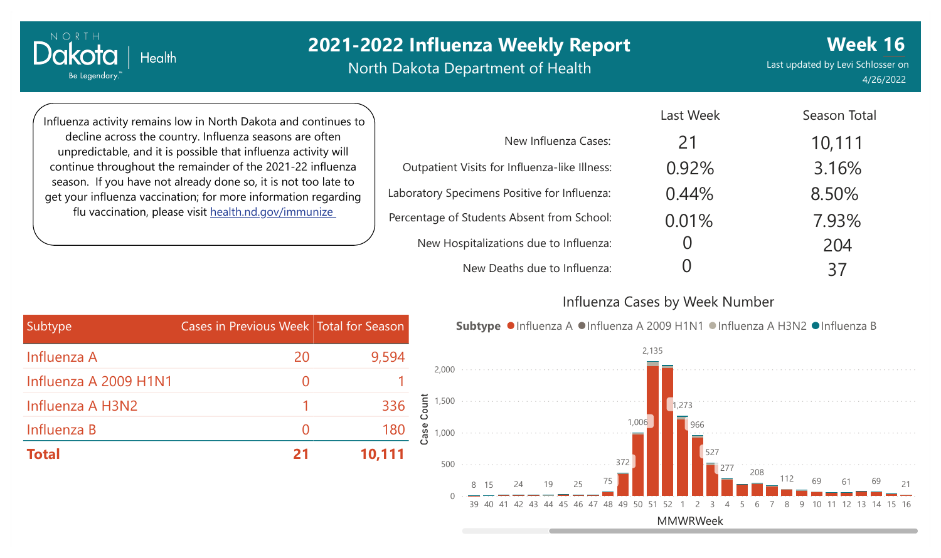## **2021-2022 Influenza Weekly Report**

North Dakota Department of Health

Last updated by Levi Schlosser on 4/26/2022

**Week 16**

Season Total

Influenza activity remains low in North Dakota and continues to decline across the country. Influenza seasons are often unpredictable, and it is possible that influenza activity will continue throughout the remainder of the 2021-22 influenza season. If you have not already done so, it is not too late to get your influenza vaccination; for more information regarding flu vaccination, please visit [health.nd.gov/immunize](http://health.nd.gov/immunize)

**Health** 

NORTH

Be Legendary.

Dako

|                                               | Last week | Season Total |
|-----------------------------------------------|-----------|--------------|
| New Influenza Cases:                          | 21        | 10,111       |
| Outpatient Visits for Influenza-like Illness: | 0.92%     | 3.16%        |
| Laboratory Specimens Positive for Influenza:  | 0.44%     | 8.50%        |
| Percentage of Students Absent from School:    | 0.01%     | 7.93%        |
| New Hospitalizations due to Influenza:        |           | 204          |
| New Deaths due to Influenza:                  |           | 37           |

#### Influenza Cases by Week Number

Last Week

| Subtype               | Cases in Previous Week Total for Season |        |
|-----------------------|-----------------------------------------|--------|
| Influenza A           | 20                                      | 9,594  |
| Influenza A 2009 H1N1 | $\mathcal{O}$                           |        |
| Influenza A H3N2      |                                         | 336    |
| Influenza B           | $\left( \right)$                        | 180    |
| <b>Total</b>          |                                         | 10,111 |

Subtype ●Influenza A ●Influenza A 2009 H1N1 ●Influenza A H3N2 ●Influenza B

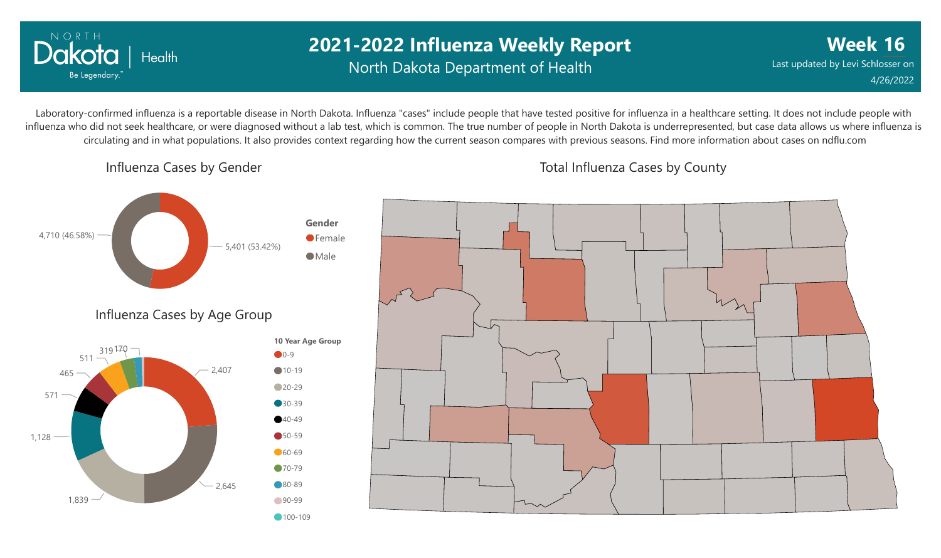

### **2021-2022 Influenza Weekly Report** North Dakota Department of Health

**Week 16** Last updated by Levi Schlosser on 4/26/2022

Laboratory-confirmed influenza is a reportable disease in North Dakota. Influenza "cases" include people that have tested positive for influenza in a healthcare setting. It does not include people with influenza who did not seek healthcare, or were diagnosed without a lab test, which is common. The true number of people in North Dakota is underrepresented, but case data allows us where influenza is circulating and in what populations. It also provides context regarding how the current season compares with previous seasons. Find more information about cases on ndflu.com

Influenza Cases by Gender

Total Influenza Cases by County

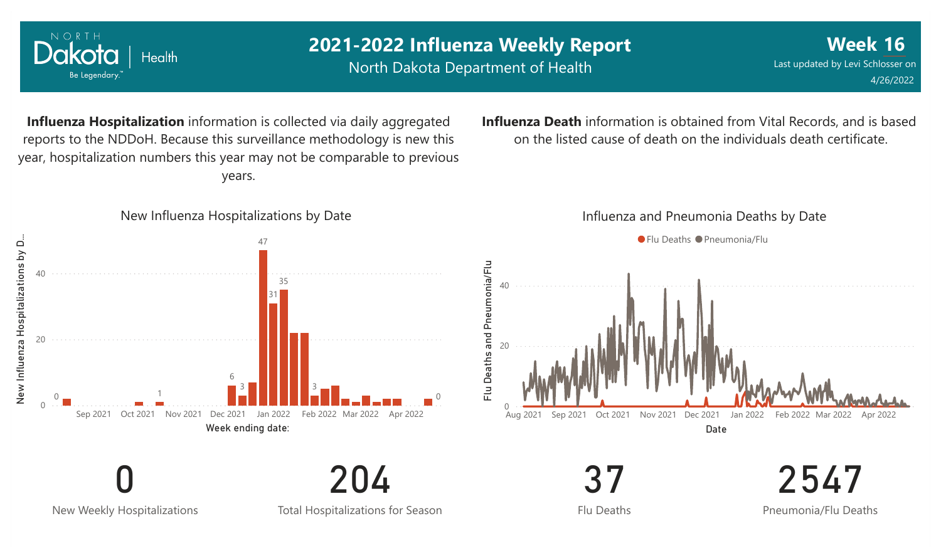

New Weekly Hospitalizations

Total Hospitalizations for Season

204

Flu Deaths

2547 Pneumonia/Flu Deaths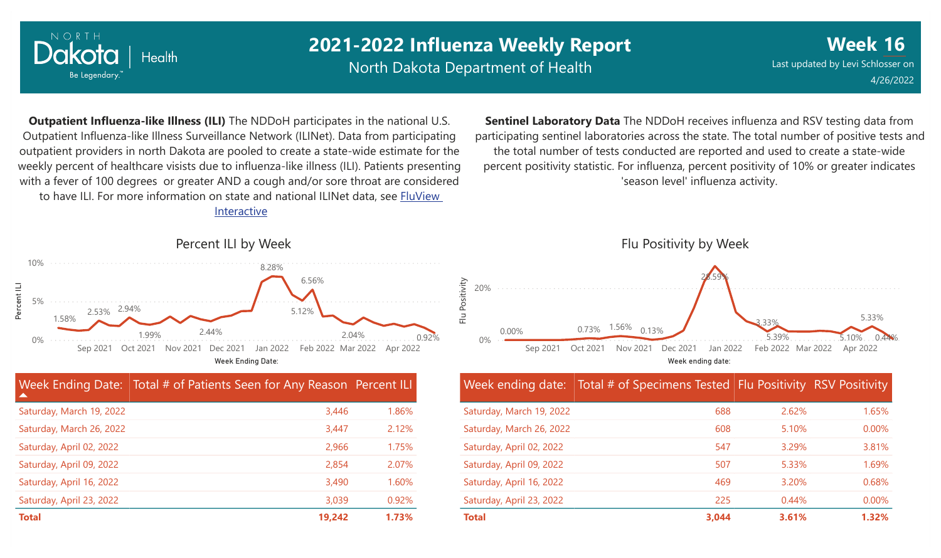

Percent ILI

### **2021-2022 Influenza Weekly Report**

North Dakota Department of Health

**Week 16** Last updated by Levi Schlosser on 4/26/2022

**Outpatient Influenza-like Illness (ILI)** The NDDoH participates in the national U.S. Outpatient Influenza-like Illness Surveillance Network (ILINet). Data from participating outpatient providers in north Dakota are pooled to create a state-wide estimate for the weekly percent of healthcare visists due to influenza-like illness (ILI). Patients presenting with a fever of 100 degrees or greater AND a cough and/or sore throat are considered to have ILI. For more information [on state and national ILINet data, see FluView](http://fluview%20interactive/) Interactive

**Sentinel Laboratory Data** The NDDoH receives influenza and RSV testing data from participating sentinel laboratories across the state. The total number of positive tests and the total number of tests conducted are reported and used to create a state-wide percent positivity statistic. For influenza, percent positivity of 10% or greater indicates 'season level' influenza activity.



| ▲                        | Week Ending Date: Total # of Patients Seen for Any Reason Percent ILI |       |
|--------------------------|-----------------------------------------------------------------------|-------|
| Saturday, March 19, 2022 | 3,446                                                                 | 1.86% |
| Saturday, March 26, 2022 | 3,447                                                                 | 2.12% |
| Saturday, April 02, 2022 | 2,966                                                                 | 1.75% |
| Saturday, April 09, 2022 | 2,854                                                                 | 2.07% |
| Saturday, April 16, 2022 | 3,490                                                                 | 1.60% |
| Saturday, April 23, 2022 | 3,039                                                                 | 0.92% |
| <b>Total</b>             | 19,242                                                                | 1.73% |



Week ending date: Total # of Specimens Tested Flu Positivity RSV Positivity

| Saturday, March 19, 2022 | 688   | 2.62%    | 1.65%    |
|--------------------------|-------|----------|----------|
| Saturday, March 26, 2022 | 608   | 5.10%    | $0.00\%$ |
| Saturday, April 02, 2022 | 547   | 3.29%    | 3.81%    |
| Saturday, April 09, 2022 | 507   | 5.33%    | 1.69%    |
| Saturday, April 16, 2022 | 469   | 3.20%    | 0.68%    |
| Saturday, April 23, 2022 | 225   | $0.44\%$ | $0.00\%$ |
| <b>Total</b>             | 3.044 | 3.61%    | 1.32%    |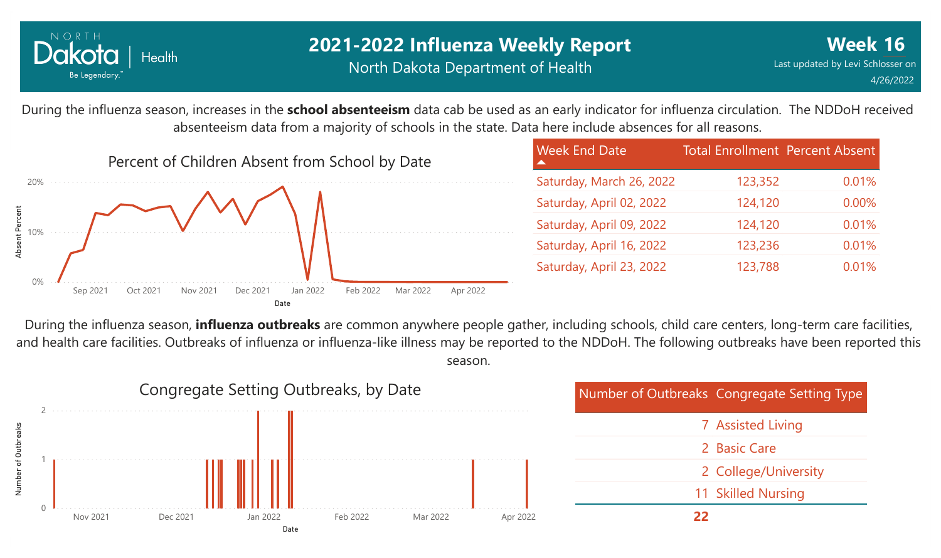

### **2021-2022 Influenza Weekly Report** North Dakota Department of Health

0.01%

0.00%

0.01%

0.01%

0.01%

Total Enrollment Percent Absent

123,352

124,120

124,120

123,236

123,788

During the influenza season, increases in the **school absenteeism** data cab be used as an early indicator for influenza circulation. The NDDoH received absenteeism data from a majority of schools in the state. Data here include absences for all reasons.



| During the influenza season, <b>influenza outbreaks</b> are common anywhere people gather, including schools, child care centers, long-term care facilities, |
|--------------------------------------------------------------------------------------------------------------------------------------------------------------|
| and health care facilities. Outbreaks of influenza or influenza-like illness may be reported to the NDDoH. The following outbreaks have been reported this   |
| season.                                                                                                                                                      |

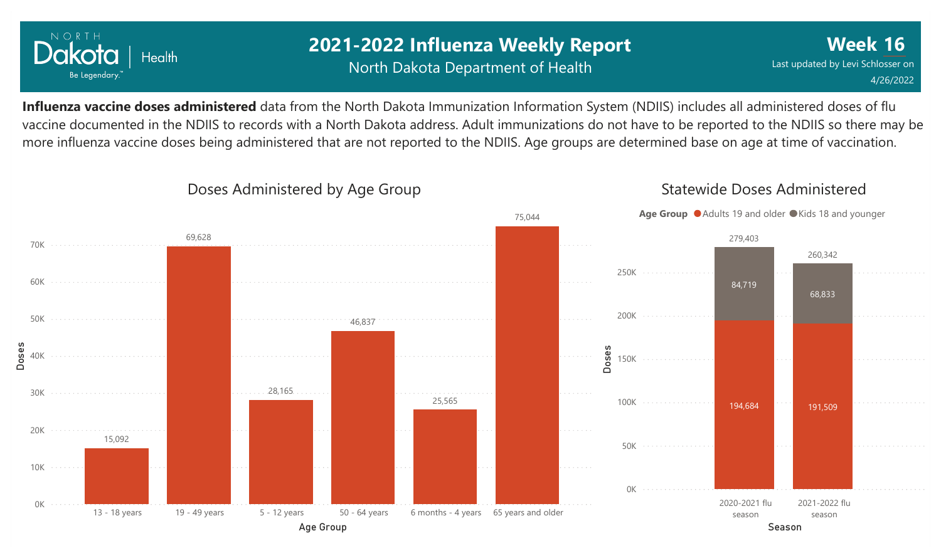

### **2021-2022 Influenza Weekly Report** North Dakota Department of Health

**Week 16** Last updated by Levi Schlosser on 4/26/2022

**Influenza vaccine doses administered** data from the North Dakota Immunization Information System (NDIIS) includes all administered doses of flu vaccine documented in the NDIIS to records with a North Dakota address. Adult immunizations do not have to be reported to the NDIIS so there may be more influenza vaccine doses being administered that are not reported to the NDIIS. Age groups are determined base on age at time of vaccination.



#### Doses Administered by Age Group

Statewide Doses Administered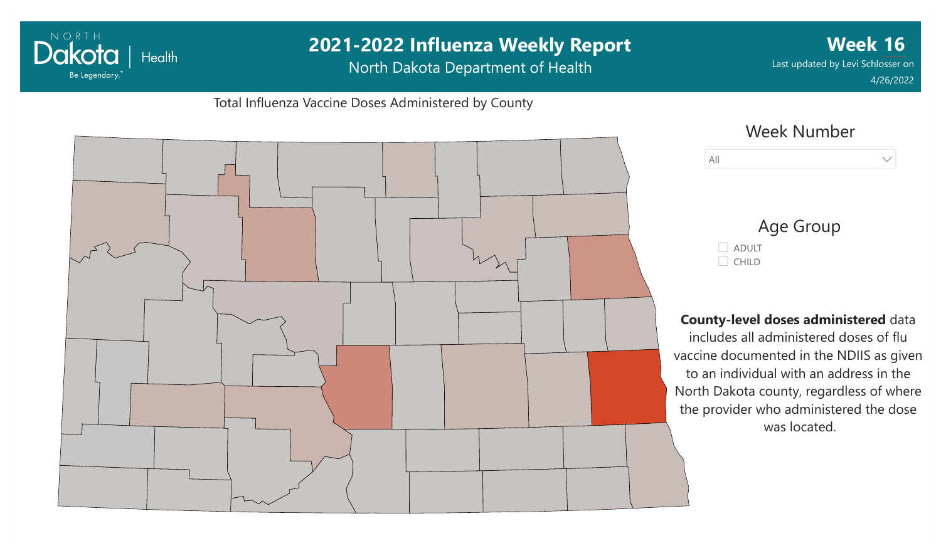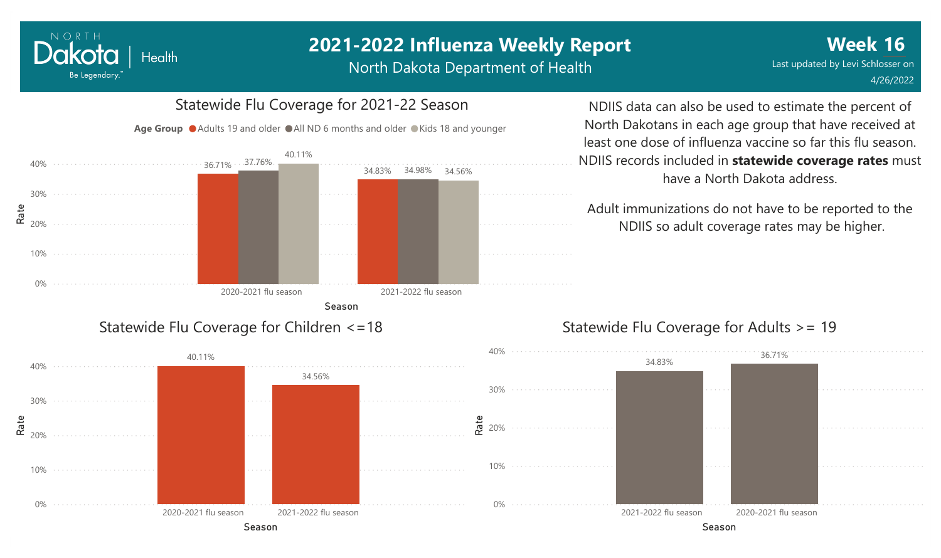## **2021-2022 Influenza Weekly Report**

North Dakota Department of Health



NORTH

Dakota

Be Legendary.

**Health** 

# Statewide Flu Coverage for 2021-22 Season

NDIIS data can also be used to estimate the percent of North Dakotans in each age group that have received at least one dose of influenza vaccine so far this flu season. NDIIS records included in **statewide coverage rates** must have a North Dakota address.

Adult immunizations do not have to be reported to the NDIIS so adult coverage rates may be higher.

### Statewide Flu Coverage for Adults >= 19